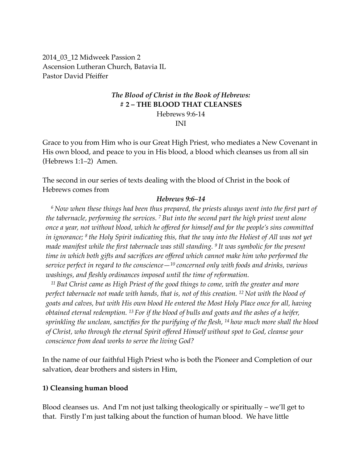2014\_03\_12 Midweek Passion 2 Ascension Lutheran Church, Batavia IL Pastor David Pfeiffer

# *The Blood of Christ in the Book of Hebrews:* **# 2 – THE BLOOD THAT CLEANSES**

Hebrews 9:6-14

INI

Grace to you from Him who is our Great High Priest, who mediates a New Covenant in His own blood, and peace to you in His blood, a blood which cleanses us from all sin (Hebrews 1:1–2) Amen.

The second in our series of texts dealing with the blood of Christ in the book of Hebrews comes from

#### *Hebrews 9:6–14*

*<sup>6</sup> Now when these things had been thus prepared, the priests always went into the first part of the tabernacle, performing the services. 7 But into the second part the high priest went alone once a year, not without blood, which he offered for himself and for the people's sins committed in ignorance; 8 the Holy Spirit indicating this, that the way into the Holiest of All was not yet made manifest while the first tabernacle was still standing. 9 It was symbolic for the present time in which both gifts and sacrifices are offered which cannot make him who performed the service perfect in regard to the conscience—10 concerned only with foods and drinks, various washings, and fleshly ordinances imposed until the time of reformation.*

*<sup>11</sup> But Christ came as High Priest of the good things to come, with the greater and more perfect tabernacle not made with hands, that is, not of this creation. 12 Not with the blood of goats and calves, but with His own blood He entered the Most Holy Place once for all, having obtained eternal redemption. 13 For if the blood of bulls and goats and the ashes of a heifer, sprinkling the unclean, sanctifies for the purifying of the flesh, 14 how much more shall the blood of Christ, who through the eternal Spirit offered Himself without spot to God, cleanse your conscience from dead works to serve the living God?*

In the name of our faithful High Priest who is both the Pioneer and Completion of our salvation, dear brothers and sisters in Him,

### **1) Cleansing human blood**

Blood cleanses us. And I'm not just talking theologically or spiritually – we'll get to that. Firstly I'm just talking about the function of human blood. We have little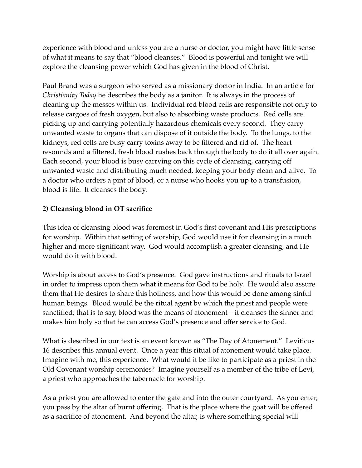experience with blood and unless you are a nurse or doctor, you might have little sense of what it means to say that "blood cleanses." Blood is powerful and tonight we will explore the cleansing power which God has given in the blood of Christ.

Paul Brand was a surgeon who served as a missionary doctor in India. In an article for *Christianity Today* he describes the body as a janitor. It is always in the process of cleaning up the messes within us. Individual red blood cells are responsible not only to release cargoes of fresh oxygen, but also to absorbing waste products. Red cells are picking up and carrying potentially hazardous chemicals every second. They carry unwanted waste to organs that can dispose of it outside the body. To the lungs, to the kidneys, red cells are busy carry toxins away to be filtered and rid of. The heart resounds and a filtered, fresh blood rushes back through the body to do it all over again. Each second, your blood is busy carrying on this cycle of cleansing, carrying off unwanted waste and distributing much needed, keeping your body clean and alive. To a doctor who orders a pint of blood, or a nurse who hooks you up to a transfusion, blood is life. It cleanses the body.

## **2) Cleansing blood in OT sacrifice**

This idea of cleansing blood was foremost in God's first covenant and His prescriptions for worship. Within that setting of worship, God would use it for cleansing in a much higher and more significant way. God would accomplish a greater cleansing, and He would do it with blood.

Worship is about access to God's presence. God gave instructions and rituals to Israel in order to impress upon them what it means for God to be holy. He would also assure them that He desires to share this holiness, and how this would be done among sinful human beings. Blood would be the ritual agent by which the priest and people were sanctified; that is to say, blood was the means of atonement – it cleanses the sinner and makes him holy so that he can access God's presence and offer service to God.

What is described in our text is an event known as "The Day of Atonement." Leviticus 16 describes this annual event. Once a year this ritual of atonement would take place. Imagine with me, this experience. What would it be like to participate as a priest in the Old Covenant worship ceremonies? Imagine yourself as a member of the tribe of Levi, a priest who approaches the tabernacle for worship.

As a priest you are allowed to enter the gate and into the outer courtyard. As you enter, you pass by the altar of burnt offering. That is the place where the goat will be offered as a sacrifice of atonement. And beyond the altar, is where something special will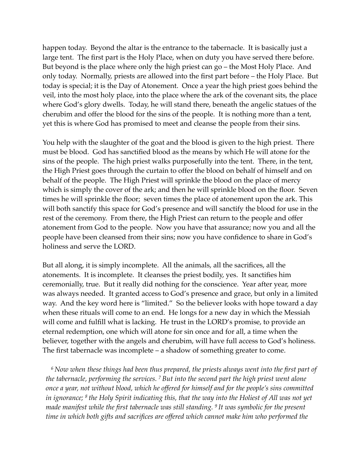happen today. Beyond the altar is the entrance to the tabernacle. It is basically just a large tent. The first part is the Holy Place, when on duty you have served there before. But beyond is the place where only the high priest can go – the Most Holy Place. And only today. Normally, priests are allowed into the first part before – the Holy Place. But today is special; it is the Day of Atonement. Once a year the high priest goes behind the veil, into the most holy place, into the place where the ark of the covenant sits, the place where God's glory dwells. Today, he will stand there, beneath the angelic statues of the cherubim and offer the blood for the sins of the people. It is nothing more than a tent, yet this is where God has promised to meet and cleanse the people from their sins.

You help with the slaughter of the goat and the blood is given to the high priest. There must be blood. God has sanctified blood as the means by which He will atone for the sins of the people. The high priest walks purposefully into the tent. There, in the tent, the High Priest goes through the curtain to offer the blood on behalf of himself and on behalf of the people. The High Priest will sprinkle the blood on the place of mercy which is simply the cover of the ark; and then he will sprinkle blood on the floor. Seven times he will sprinkle the floor; seven times the place of atonement upon the ark. This will both sanctify this space for God's presence and will sanctify the blood for use in the rest of the ceremony. From there, the High Priest can return to the people and offer atonement from God to the people. Now you have that assurance; now you and all the people have been cleansed from their sins; now you have confidence to share in God's holiness and serve the LORD.

But all along, it is simply incomplete. All the animals, all the sacrifices, all the atonements. It is incomplete. It cleanses the priest bodily, yes. It sanctifies him ceremonially, true. But it really did nothing for the conscience. Year after year, more was always needed. It granted access to God's presence and grace, but only in a limited way. And the key word here is "limited." So the believer looks with hope toward a day when these rituals will come to an end. He longs for a new day in which the Messiah will come and fulfill what is lacking. He trust in the LORD's promise, to provide an eternal redemption, one which will atone for sin once and for all, a time when the believer, together with the angels and cherubim, will have full access to God's holiness. The first tabernacle was incomplete – a shadow of something greater to come.

*<sup>6</sup> Now when these things had been thus prepared, the priests always went into the first part of the tabernacle, performing the services. 7 But into the second part the high priest went alone once a year, not without blood, which he offered for himself and for the people's sins committed in ignorance; 8 the Holy Spirit indicating this, that the way into the Holiest of All was not yet made manifest while the first tabernacle was still standing. 9 It was symbolic for the present time in which both gifts and sacrifices are offered which cannot make him who performed the*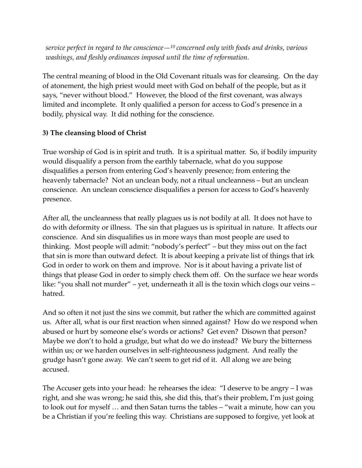*service perfect in regard to the conscience—10 concerned only with foods and drinks, various washings, and fleshly ordinances imposed until the time of reformation.*

The central meaning of blood in the Old Covenant rituals was for cleansing. On the day of atonement, the high priest would meet with God on behalf of the people, but as it says, "never without blood." However, the blood of the first covenant, was always limited and incomplete. It only qualified a person for access to God's presence in a bodily, physical way. It did nothing for the conscience.

## **3) The cleansing blood of Christ**

True worship of God is in spirit and truth. It is a spiritual matter. So, if bodily impurity would disqualify a person from the earthly tabernacle, what do you suppose disqualifies a person from entering God's heavenly presence; from entering the heavenly tabernacle? Not an unclean body, not a ritual uncleanness – but an unclean conscience. An unclean conscience disqualifies a person for access to God's heavenly presence.

After all, the uncleanness that really plagues us is not bodily at all. It does not have to do with deformity or illness. The sin that plagues us is spiritual in nature. It affects our conscience. And sin disqualifies us in more ways than most people are used to thinking. Most people will admit: "nobody's perfect" – but they miss out on the fact that sin is more than outward defect. It is about keeping a private list of things that irk God in order to work on them and improve. Nor is it about having a private list of things that please God in order to simply check them off. On the surface we hear words like: "you shall not murder" – yet, underneath it all is the toxin which clogs our veins – hatred.

And so often it not just the sins we commit, but rather the which are committed against us. After all, what is our first reaction when sinned against? How do we respond when abused or hurt by someone else's words or actions? Get even? Disown that person? Maybe we don't to hold a grudge, but what do we do instead? We bury the bitterness within us; or we harden ourselves in self-righteousness judgment. And really the grudge hasn't gone away. We can't seem to get rid of it. All along we are being accused.

The Accuser gets into your head: he rehearses the idea: "I deserve to be angry – I was right, and she was wrong; he said this, she did this, that's their problem, I'm just going to look out for myself … and then Satan turns the tables – "wait a minute, how can you be a Christian if you're feeling this way. Christians are supposed to forgive, yet look at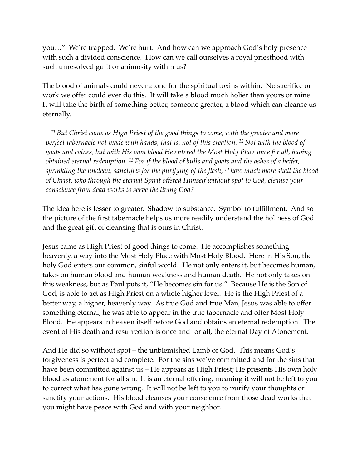you…" We're trapped. We're hurt. And how can we approach God's holy presence with such a divided conscience. How can we call ourselves a royal priesthood with such unresolved guilt or animosity within us?

The blood of animals could never atone for the spiritual toxins within. No sacrifice or work we offer could ever do this. It will take a blood much holier than yours or mine. It will take the birth of something better, someone greater, a blood which can cleanse us eternally.

*<sup>11</sup> But Christ came as High Priest of the good things to come, with the greater and more perfect tabernacle not made with hands, that is, not of this creation. 12 Not with the blood of goats and calves, but with His own blood He entered the Most Holy Place once for all, having obtained eternal redemption. 13 For if the blood of bulls and goats and the ashes of a heifer, sprinkling the unclean, sanctifies for the purifying of the flesh, 14 how much more shall the blood of Christ, who through the eternal Spirit offered Himself without spot to God, cleanse your conscience from dead works to serve the living God?*

The idea here is lesser to greater. Shadow to substance. Symbol to fulfillment. And so the picture of the first tabernacle helps us more readily understand the holiness of God and the great gift of cleansing that is ours in Christ.

Jesus came as High Priest of good things to come. He accomplishes something heavenly, a way into the Most Holy Place with Most Holy Blood. Here in His Son, the holy God enters our common, sinful world. He not only enters it, but becomes human, takes on human blood and human weakness and human death. He not only takes on this weakness, but as Paul puts it, "He becomes sin for us." Because He is the Son of God, is able to act as High Priest on a whole higher level. He is the High Priest of a better way, a higher, heavenly way. As true God and true Man, Jesus was able to offer something eternal; he was able to appear in the true tabernacle and offer Most Holy Blood. He appears in heaven itself before God and obtains an eternal redemption. The event of His death and resurrection is once and for all, the eternal Day of Atonement.

And He did so without spot – the unblemished Lamb of God. This means God's forgiveness is perfect and complete. For the sins we've committed and for the sins that have been committed against us – He appears as High Priest; He presents His own holy blood as atonement for all sin. It is an eternal offering, meaning it will not be left to you to correct what has gone wrong. It will not be left to you to purify your thoughts or sanctify your actions. His blood cleanses your conscience from those dead works that you might have peace with God and with your neighbor.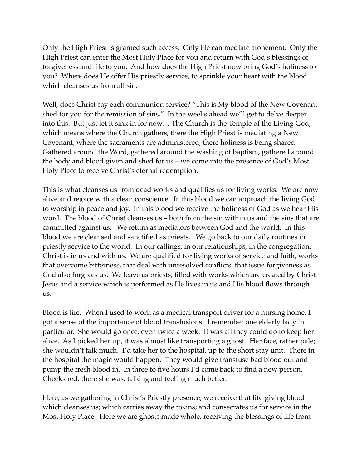Only the High Priest is granted such access. Only He can mediate atonement. Only the High Priest can enter the Most Holy Place for you and return with God's blessings of forgiveness and life to you. And how does the High Priest now bring God's holiness to you? Where does He offer His priestly service, to sprinkle your heart with the blood which cleanses us from all sin.

Well, does Christ say each communion service? "This is My blood of the New Covenant shed for you for the remission of sins." In the weeks ahead we'll get to delve deeper into this. But just let it sink in for now… The Church is the Temple of the Living God; which means where the Church gathers, there the High Priest is mediating a New Covenant; where the sacraments are administered, there holiness is being shared. Gathered around the Word, gathered around the washing of baptism, gathered around the body and blood given and shed for us – we come into the presence of God's Most Holy Place to receive Christ's eternal redemption.

This is what cleanses us from dead works and qualifies us for living works. We are now alive and rejoice with a clean conscience. In this blood we can approach the living God to worship in peace and joy. In this blood we receive the holiness of God as we hear His word. The blood of Christ cleanses us – both from the sin within us and the sins that are committed against us. We return as mediators between God and the world. In this blood we are cleansed and sanctified as priests. We go back to our daily routines in priestly service to the world. In our callings, in our relationships, in the congregation, Christ is in us and with us. We are qualified for living works of service and faith, works that overcome bitterness, that deal with unresolved conflicts, that issue forgiveness as God also forgives us. We leave as priests, filled with works which are created by Christ Jesus and a service which is performed as He lives in us and His blood flows through us.

Blood is life. When I used to work as a medical transport driver for a nursing home, I got a sense of the importance of blood transfusions. I remember one elderly lady in particular. She would go once, even twice a week. It was all they could do to keep her alive. As I picked her up, it was almost like transporting a ghost. Her face, rather pale; she wouldn't talk much. I'd take her to the hospital, up to the short stay unit. There in the hospital the magic would happen. They would give transfuse bad blood out and pump the fresh blood in. In three to five hours I'd come back to find a new person. Cheeks red, there she was, talking and feeling much better.

Here, as we gathering in Christ's Priestly presence, we receive that life-giving blood which cleanses us; which carries away the toxins; and consecrates us for service in the Most Holy Place. Here we are ghosts made whole, receiving the blessings of life from